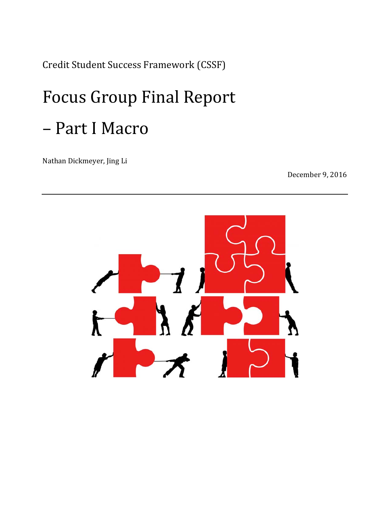Credit Student Success Framework (CSSF) 

# Focus Group Final Report – Part I Macro

Nathan Dickmeyer, Jing Li

December 9, 2016

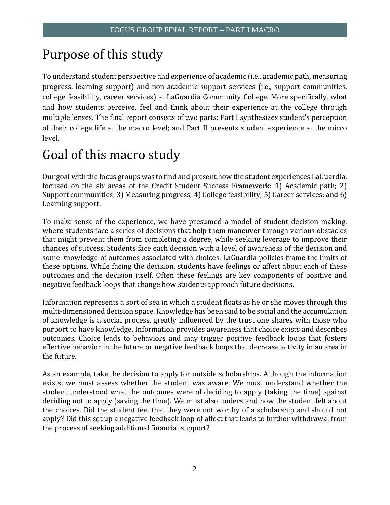# Purpose of this study

To understand student perspective and experience of academic (i.e., academic path, measuring college feasibility, career services) at LaGuardia Community College. More specifically, what multiple lenses. The final report consists of two parts: Part I synthesizes student's perception of their college life at the macro level; and Part II presents student experience at the micro progress, learning support) and non-academic support services (i.e., support communities, and how students perceive, feel and think about their experience at the college through level. 

# Goal of this macro study

Our goal with the focus groups was to find and present how the student experiences LaGuardia, focused on the six areas of the Credit Student Success Framework: 1) Academic path; 2) Support communities; 3) Measuring progress; 4) College feasibility; 5) Career services; and 6) Learning support.

To make sense of the experience, we have presumed a model of student decision making, these options. While facing the decision, students have feelings or affect about each of these where students face a series of decisions that help them maneuver through various obstacles that might prevent them from completing a degree, while seeking leverage to improve their chances of success. Students face each decision with a level of awareness of the decision and some knowledge of outcomes associated with choices. LaGuardia policies frame the limits of outcomes and the decision itself. Often these feelings are key components of positive and negative feedback loops that change how students approach future decisions.

Information represents a sort of sea in which a student floats as he or she moves through this of knowledge is a social process, greatly influenced by the trust one shares with those who effective behavior in the future or negative feedback loops that decrease activity in an area in multi-dimensioned decision space. Knowledge has been said to be social and the accumulation purport to have knowledge. Information provides awareness that choice exists and describes outcomes. Choice leads to behaviors and may trigger positive feedback loops that fosters the future.

exists, we must assess whether the student was aware. We must understand whether the deciding not to apply (saving the time). We must also understand how the student felt about the choices. Did the student feel that they were not worthy of a scholarship and should not apply? Did this set up a negative feedback loop of affect that leads to further withdrawal from As an example, take the decision to apply for outside scholarships. Although the information student understood what the outcomes were of deciding to apply (taking the time) against the process of seeking additional financial support?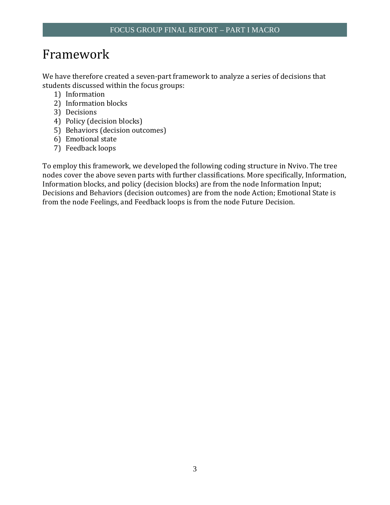# Framework

We have therefore created a seven-part framework to analyze a series of decisions that students discussed within the focus groups:

- 1) Information
- 2) Information blocks
- 3) Decisions
- 4) Policy (decision blocks)
- 5) Behaviors (decision outcomes)
- 6) Emotional state
- 7) Feedback loops

To employ this framework, we developed the following coding structure in Nvivo. The tree nodes cover the above seven parts with further classifications. More specifically, Information, Information blocks, and policy (decision blocks) are from the node Information Input; Decisions and Behaviors (decision outcomes) are from the node Action; Emotional State is from the node Feelings, and Feedback loops is from the node Future Decision.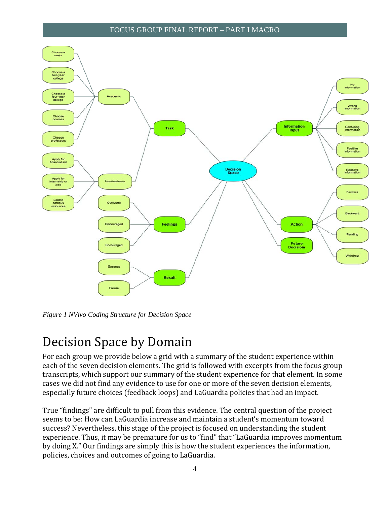

*Figure 1 NVivo Coding Structure for Decision Space* 

# Decision Space by Domain

For each group we provide below a grid with a summary of the student experience within each of the seven decision elements. The grid is followed with excerpts from the focus group transcripts, which support our summary of the student experience for that element. In some cases we did not find any evidence to use for one or more of the seven decision elements, especially future choices (feedback loops) and LaGuardia policies that had an impact.

True "findings" are difficult to pull from this evidence. The central question of the project seems to be: How can LaGuardia increase and maintain a student's momentum toward success? Nevertheless, this stage of the project is focused on understanding the student experience. Thus, it may be premature for us to "find" that "LaGuardia improves momentum by doing X." Our findings are simply this is how the student experiences the information, policies, choices and outcomes of going to LaGuardia.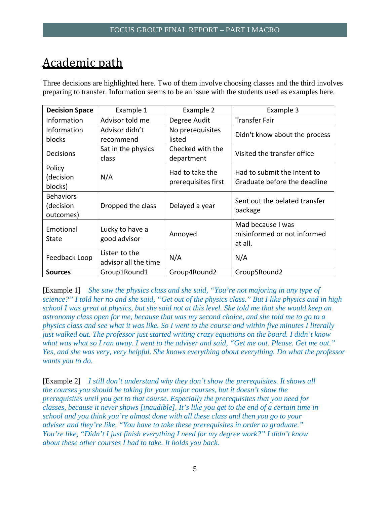# Academic path

Three decisions are highlighted here. Two of them involve choosing classes and the third involves preparing to transfer. Information seems to be an issue with the students used as examples here.

| <b>Decision Space</b>                      | Example 1                             | Example 2                              | Example 3                                                   |
|--------------------------------------------|---------------------------------------|----------------------------------------|-------------------------------------------------------------|
| Information                                | Advisor told me                       | Degree Audit                           | <b>Transfer Fair</b>                                        |
| Information<br>blocks                      | Advisor didn't<br>recommend           | No prerequisites<br>listed             | Didn't know about the process                               |
| Decisions                                  | Sat in the physics<br>class           | Checked with the<br>department         | Visited the transfer office                                 |
| Policy<br>(decision<br>blocks)             | N/A                                   | Had to take the<br>prerequisites first | Had to submit the Intent to<br>Graduate before the deadline |
| <b>Behaviors</b><br>(decision<br>outcomes) | Dropped the class                     | Delayed a year                         | Sent out the belated transfer<br>package                    |
| Emotional<br>State                         | Lucky to have a<br>good advisor       | Annoyed                                | Mad because I was<br>misinformed or not informed<br>at all. |
| Feedback Loop                              | Listen to the<br>advisor all the time | N/A                                    | N/A                                                         |
| <b>Sources</b>                             | Group1Round1                          | Group4Round2                           | Group5Round2                                                |

[Example 1] *She saw the physics class and she said, "You're not majoring in any type of science?" I told her no and she said, "Get out of the physics class." But I like physics and in high school I was great at physics, but she said not at this level. She told me that she would keep an astronomy class open for me, because that was my second choice, and she told me to go to a physics class and see what it was like. So I went to the course and within five minutes I literally just walked out. The professor just started writing crazy equations on the board. I didn't know what was what so I ran away. I went to the adviser and said, "Get me out. Please. Get me out." Yes, and she was very, very helpful. She knows everything about everything. Do what the professor wants you to do.* 

[Example 2] *I still don't understand why they don't show the prerequisites. It shows all the courses you should be taking for your major courses, but it doesn't show the prerequisites until you get to that course. Especially the prerequisites that you need for classes, because it never shows [inaudible]. It's like you get to the end of a certain time in school and you think you're almost done with all these class and then you go to your adviser and they're like, "You have to take these prerequisites in order to graduate." You're like, "Didn't I just finish everything I need for my degree work?" I didn't know about these other courses I had to take. It holds you back.*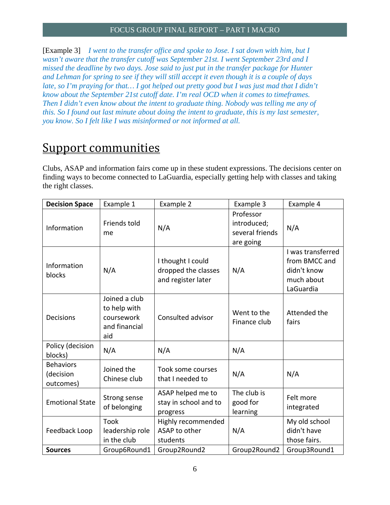[Example 3] *I went to the transfer office and spoke to Jose. I sat down with him, but I wasn't aware that the transfer cutoff was September 21st. I went September 23rd and I missed the deadline by two days. Jose said to just put in the transfer package for Hunter and Lehman for spring to see if they will still accept it even though it is a couple of days late, so I'm praying for that... I got helped out pretty good but I was just mad that I didn't know about the September 21st cutoff date. I'm real OCD when it comes to timeframes. Then I didn't even know about the intent to graduate thing. Nobody was telling me any of this. So I found out last minute about doing the intent to graduate, this is my last semester, you know. So I felt like I was misinformed or not informed at all.* 

### Support communities

Clubs, ASAP and information fairs come up in these student expressions. The decisions center on finding ways to become connected to LaGuardia, especially getting help with classes and taking the right classes.

| <b>Decision Space</b>                      | Example 1                                                           | Example 2                                                      | Example 3                                                | Example 4                                                                    |
|--------------------------------------------|---------------------------------------------------------------------|----------------------------------------------------------------|----------------------------------------------------------|------------------------------------------------------------------------------|
| Information                                | Friends told<br>me                                                  | N/A                                                            | Professor<br>introduced;<br>several friends<br>are going | N/A                                                                          |
| Information<br>blocks                      | N/A                                                                 | I thought I could<br>dropped the classes<br>and register later | N/A                                                      | I was transferred<br>from BMCC and<br>didn't know<br>much about<br>LaGuardia |
| <b>Decisions</b>                           | Joined a club<br>to help with<br>coursework<br>and financial<br>aid | Consulted advisor                                              | Went to the<br>Finance club                              | Attended the<br>fairs                                                        |
| Policy (decision<br>blocks)                | N/A                                                                 | N/A                                                            | N/A                                                      |                                                                              |
| <b>Behaviors</b><br>(decision<br>outcomes) | Joined the<br>Chinese club                                          | Took some courses<br>that I needed to                          | N/A                                                      | N/A                                                                          |
| <b>Emotional State</b>                     | Strong sense<br>of belonging                                        | ASAP helped me to<br>stay in school and to<br>progress         | The club is<br>good for<br>learning                      | Felt more<br>integrated                                                      |
| Feedback Loop                              | <b>Took</b><br>leadership role<br>in the club                       | Highly recommended<br>ASAP to other<br>students                | N/A                                                      | My old school<br>didn't have<br>those fairs.                                 |
| <b>Sources</b>                             | Group6Round1                                                        | Group2Round2                                                   | Group2Round2                                             | Group3Round1                                                                 |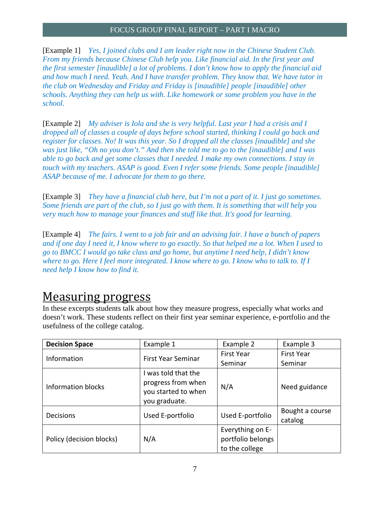[Example 1] *Yes, I joined clubs and I am leader right now in the Chinese Student Club. From my friends because Chinese Club help you. Like financial aid. In the first year and the first semester [inaudible] a lot of problems. I don't know how to apply the financial aid and how much I need. Yeah. And I have transfer problem. They know that. We have tutor in the club on Wednesday and Friday and Friday is [inaudible] people [inaudible] other schools. Anything they can help us with. Like homework or some problem you have in the school.* 

 [Example 2] *My adviser is Iola and she is very helpful. Last year I had a crisis and I dropped all of classes a couple of days before school started, thinking I could go back and register for classes. No! It was this year. So I dropped all the classes [inaudible] and she was just like, "Oh no you don't." And then she told me to go to the [inaudible] and I was able to go back and get some classes that I needed. I make my own connections. I stay in touch with my teachers. ASAP is good. Even I refer some friends. Some people [inaudible] ASAP because of me. I advocate for them to go there.* 

[Example 3] *They have a financial club here, but I'm not a part of it. I just go sometimes. Some friends are part of the club, so I just go with them. It is something that will help you very much how to manage your finances and stuff like that. It's good for learning.* 

[Example 4] *The fairs. I went to a job fair and an advising fair. I have a bunch of papers and if one day I need it, I know where to go exactly. So that helped me a lot. When I used to go to BMCC I would go take class and go home, but anytime I need help, I didn't know where to go. Here I feel more integrated. I know where to go. I know who to talk to. If I need help I know how to find it.* 

### Measuring progress

In these excerpts students talk about how they measure progress, especially what works and doesn't work. These students reflect on their first year seminar experience, e-portfolio and the usefulness of the college catalog.

| <b>Decision Space</b>    | Example 1                                                                       | Example 2                                               | Example 3                  |
|--------------------------|---------------------------------------------------------------------------------|---------------------------------------------------------|----------------------------|
| Information              | <b>First Year Seminar</b>                                                       | <b>First Year</b>                                       | <b>First Year</b>          |
|                          |                                                                                 | Seminar                                                 | Seminar                    |
| Information blocks       | was told that the<br>progress from when<br>you started to when<br>you graduate. | N/A                                                     | Need guidance              |
| Decisions                | Used E-portfolio                                                                | Used E-portfolio                                        | Bought a course<br>catalog |
| Policy (decision blocks) | N/A                                                                             | Everything on E-<br>portfolio belongs<br>to the college |                            |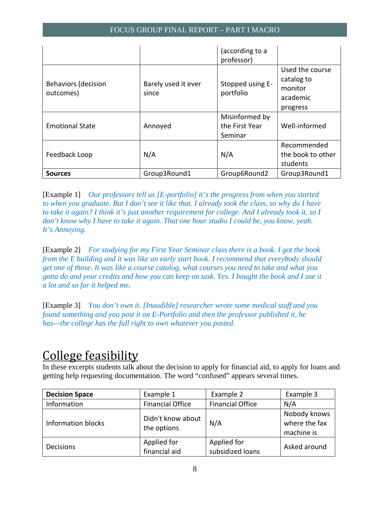|                                         |                              | (according to a<br>professor)               |                                                                  |
|-----------------------------------------|------------------------------|---------------------------------------------|------------------------------------------------------------------|
| <b>Behaviors (decision</b><br>outcomes) | Barely used it ever<br>since | Stopped using E-<br>portfolio               | Used the course<br>catalog to<br>monitor<br>academic<br>progress |
| <b>Emotional State</b>                  | Annoyed                      | Misinformed by<br>the First Year<br>Seminar | Well-informed                                                    |
| Feedback Loop                           | N/A                          | N/A                                         | Recommended<br>the book to other<br>students                     |
| <b>Sources</b>                          | Group3Round1                 | Group6Round2                                | Group3Round1                                                     |

 [Example 1] *Our professors tell us [E-portfolio] it's the progress from when you started to when you graduate. But I don't see it like that. I already took the class, so why do I have to take it again? I think it's just another requirement for college. And I already took it, so I don't know why I have to take it again. That one hour studio I could be, you know, yeah. It's Annoying.* 

[Example 2] *For studying for my First Year Seminar class there is a book. I got the book from the E building and it was like an early start book. I recommend that everybody should get one of those. It was like a course catalog, what courses you need to take and what you gotta do and your credits and how you can keep on task. Yes. I bought the book and I use it a lot and so far it helped me.* 

 [Example 3] *You don't own it. [Inaudible] researcher wrote some medical stuff and you found something and you post it on E-Portfolio and then the professor published it, he has—the college has the full right to own whatever you posted.* 

# College feasibility

In these excerpts students talk about the decision to apply for financial aid, to apply for loans and getting help requesting documentation. The word "confused" appears several times.

| <b>Decision Space</b> | Example 1                        | Example 2                       | Example 3                                   |
|-----------------------|----------------------------------|---------------------------------|---------------------------------------------|
| Information           | <b>Financial Office</b>          | <b>Financial Office</b>         | N/A                                         |
| Information blocks    | Didn't know about<br>the options | N/A                             | Nobody knows<br>where the fax<br>machine is |
| <b>Decisions</b>      | Applied for<br>financial aid     | Applied for<br>subsidized loans | Asked around                                |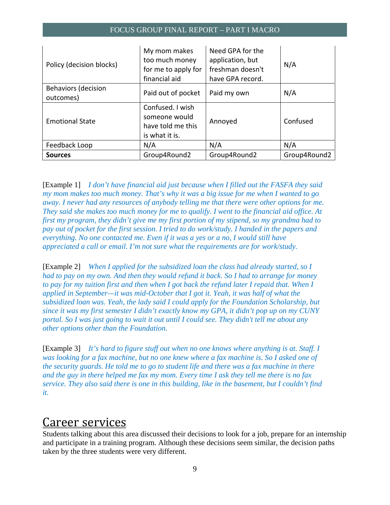| Policy (decision blocks)                | My mom makes<br>too much money<br>for me to apply for<br>financial aid   | Need GPA for the<br>application, but<br>freshman doesn't<br>have GPA record. | N/A          |
|-----------------------------------------|--------------------------------------------------------------------------|------------------------------------------------------------------------------|--------------|
| <b>Behaviors (decision</b><br>outcomes) | Paid out of pocket                                                       | Paid my own                                                                  | N/A          |
| <b>Emotional State</b>                  | Confused. I wish<br>someone would<br>have told me this<br>is what it is. | Annoyed                                                                      | Confused     |
| Feedback Loop                           | N/A                                                                      | N/A                                                                          | N/A          |
| <b>Sources</b>                          | Group4Round2                                                             | Group4Round2                                                                 | Group4Round2 |

 [Example 1] *I don't have financial aid just because when I filled out the FASFA they said my mom makes too much money. That's why it was a big issue for me when I wanted to go away. I never had any resources of anybody telling me that there were other options for me. They said she makes too much money for me to qualify. I went to the financial aid office. At first my program, they didn't give me my first portion of my stipend, so my grandma had to pay out of pocket for the first session. I tried to do work/study. I handed in the papers and everything. No one contacted me. Even if it was a yes or a no, I would still have appreciated a call or email. I'm not sure what the requirements are for work/study.* 

 [Example 2] *When I applied for the subsidized loan the class had already started, so I had to pay on my own. And then they would refund it back. So I had to arrange for money to pay for my tuition first and then when I got back the refund later I repaid that. When I applied in September—it was mid-October that I got it. Yeah, it was half of what the subsidized loan was. Yeah, the lady said I could apply for the Foundation Scholarship, but since it was my first semester I didn't exactly know my GPA, it didn't pop up on my CUNY portal. So I was just going to wait it out until I could see. They didn't tell me about any other options other than the Foundation.* 

[Example 3] *It's hard to figure stuff out when no one knows where anything is at. Staff. I was looking for a fax machine, but no one knew where a fax machine is. So I asked one of the security guards. He told me to go to student life and there was a fax machine in there and the guy in there helped me fax my mom. Every time I ask they tell me there is no fax service. They also said there is one in this building, like in the basement, but I couldn't find it.* 

### Career services

Students talking about this area discussed their decisions to look for a job, prepare for an internship and participate in a training program. Although these decisions seem similar, the decision paths taken by the three students were very different.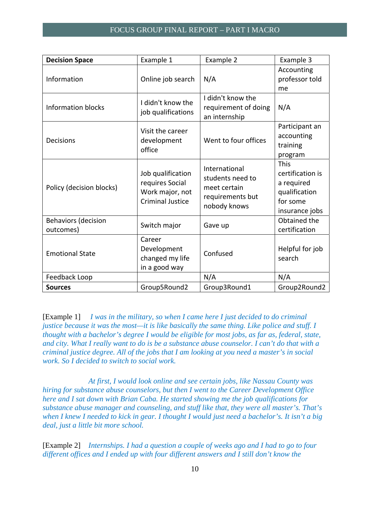| <b>Decision Space</b>                   | Example 1                                                                          | Example 2                                                                             | Example 3                                                                                    |
|-----------------------------------------|------------------------------------------------------------------------------------|---------------------------------------------------------------------------------------|----------------------------------------------------------------------------------------------|
| Information                             | Online job search                                                                  | N/A                                                                                   | Accounting<br>professor told<br>me                                                           |
| <b>Information blocks</b>               | I didn't know the<br>job qualifications                                            | I didn't know the<br>requirement of doing<br>an internship                            | N/A                                                                                          |
| Decisions                               | Visit the career<br>development<br>office                                          | Went to four offices                                                                  | Participant an<br>accounting<br>training<br>program                                          |
| Policy (decision blocks)                | Job qualification<br>requires Social<br>Work major, not<br><b>Criminal Justice</b> | International<br>students need to<br>meet certain<br>requirements but<br>nobody knows | <b>This</b><br>certification is<br>a required<br>qualification<br>for some<br>insurance jobs |
| <b>Behaviors (decision</b><br>outcomes) | Switch major                                                                       | Gave up                                                                               | Obtained the<br>certification                                                                |
| <b>Emotional State</b>                  | Career<br>Development<br>changed my life<br>in a good way                          | Confused                                                                              | Helpful for job<br>search                                                                    |
| Feedback Loop                           |                                                                                    | N/A                                                                                   | N/A                                                                                          |
| <b>Sources</b>                          | Group5Round2                                                                       | Group3Round1                                                                          | Group2Round2                                                                                 |

[Example 1] *I was in the military, so when I came here I just decided to do criminal justice because it was the most—it is like basically the same thing. Like police and stuff. I thought with a bachelor's degree I would be eligible for most jobs, as far as, federal, state, and city. What I really want to do is be a substance abuse counselor. I can't do that with a criminal justice degree. All of the jobs that I am looking at you need a master's in social work. So I decided to switch to social work.* 

*At first, I would look online and see certain jobs, like Nassau County was hiring for substance abuse counselors, but then I went to the Career Development Office here and I sat down with Brian Caba. He started showing me the job qualifications for substance abuse manager and counseling, and stuff like that, they were all master's. That's when I knew I needed to kick in gear. I thought I would just need a bachelor's. It isn't a big deal, just a little bit more school.* 

 [Example 2] *Internships. I had a question a couple of weeks ago and I had to go to four different offices and I ended up with four different answers and I still don't know the*